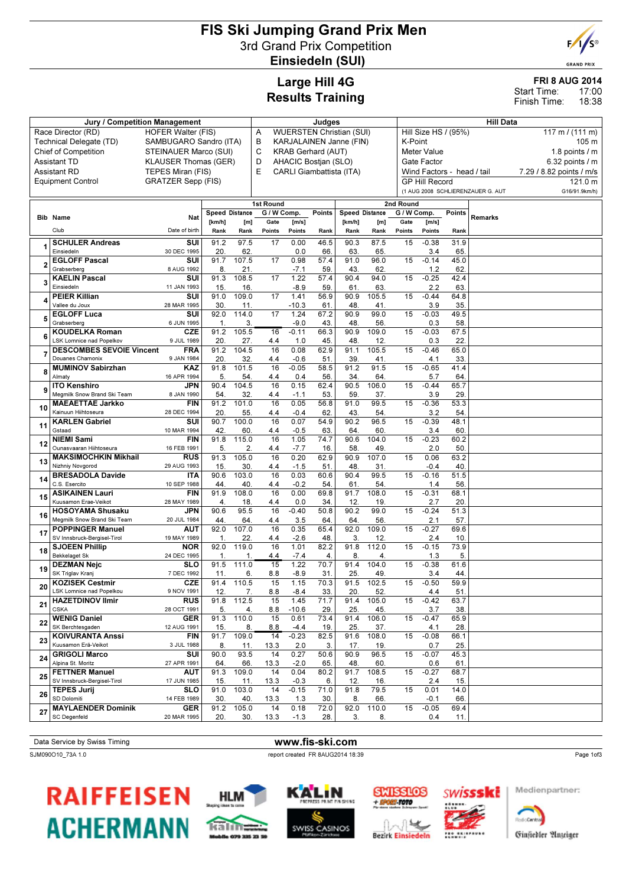## FIS Ski Jumping Grand Prix Men 3rd Grand Prix Competition Einsiedeln (SUI)



**GRAND PRIX** 

# Large Hill 4G Results Training

|                             | <b>FRI 8 AUG 2014</b> |                |
|-----------------------------|-----------------------|----------------|
| Start Time:<br>Finish Time: |                       | 17:00<br>18:38 |
| Hill Data                   |                       |                |

|    | Jury / Competition Management                     | Judges                               |                       |              |                                                 |                   |             | <b>Hill Data</b>                          |                         |                          |                            |                   |                                   |                          |  |
|----|---------------------------------------------------|--------------------------------------|-----------------------|--------------|-------------------------------------------------|-------------------|-------------|-------------------------------------------|-------------------------|--------------------------|----------------------------|-------------------|-----------------------------------|--------------------------|--|
|    | Race Director (RD)                                | <b>WUERSTEN Christian (SUI)</b><br>Α |                       |              |                                                 |                   |             | Hill Size HS / (95%)<br>117 m / $(111 m)$ |                         |                          |                            |                   |                                   |                          |  |
|    | Technical Delegate (TD)                           | B<br>SAMBUGARO Sandro (ITA)          |                       |              |                                                 |                   |             |                                           | KARJALAINEN Janne (FIN) |                          | K-Point<br>105 m           |                   |                                   |                          |  |
|    | <b>Chief of Competition</b>                       | STEINAUER Marco (SUI)                |                       | С            | <b>KRAB Gerhard (AUT)</b><br><b>Meter Value</b> |                   |             |                                           |                         |                          |                            |                   | 1.8 points $/$ m                  |                          |  |
|    | <b>Assistant TD</b>                               | <b>KLAUSER Thomas (GER)</b>          |                       | D            | AHACIC Bostjan (SLO)<br>Gate Factor             |                   |             |                                           |                         |                          |                            | $6.32$ points / m |                                   |                          |  |
|    | <b>Assistant RD</b>                               | TEPES Miran (FIS)                    |                       |              | E                                               |                   |             | CARLI Giambattista (ITA)                  |                         |                          | Wind Factors - head / tail |                   |                                   | 7.29 / 8.82 points / m/s |  |
|    | <b>Equipment Control</b>                          | <b>GRATZER Sepp (FIS)</b>            |                       |              |                                                 |                   |             |                                           |                         |                          | <b>GP Hill Record</b>      |                   |                                   | 121.0 m                  |  |
|    |                                                   |                                      |                       |              |                                                 |                   |             |                                           |                         |                          |                            |                   | (1 AUG 2008 SCHLIERENZAUER G. AUT | G16/91.9km/h)            |  |
|    |                                                   |                                      |                       |              | 1st Round                                       |                   |             |                                           |                         | 2nd Round                |                            |                   |                                   |                          |  |
|    | <b>Bib Name</b>                                   | Nat                                  | <b>Speed Distance</b> |              | G / W Comp.                                     |                   | Points      | <b>Speed Distance</b>                     |                         | $\overline{G}$ / W Comp. |                            | <b>Points</b>     | Remarks                           |                          |  |
|    | Club                                              | Date of birth                        | [km/h]<br>Rank        | [m]<br>Rank  | Gate<br>Points                                  | [m/s]<br>Points   | Rank        | [km/h]<br>Rank                            | [m]<br>Rank             | Gate<br>Points           | [m/s]<br>Points            | Rank              |                                   |                          |  |
|    |                                                   |                                      |                       |              |                                                 |                   |             |                                           |                         |                          |                            |                   |                                   |                          |  |
|    | <b>SCHULER Andreas</b><br>Einsiedeln              | SUI<br>30 DEC 1995                   | 91.2<br>20.           | 97.5<br>62   | 17                                              | 0.00<br>0.0       | 46.5<br>66  | 90.3<br>63                                | 87.5<br>65              | 15                       | $-0.38$<br>3.4             | 31.9<br>65        |                                   |                          |  |
|    | <b>EGLOFF Pascal</b>                              | SUI                                  | 91.7                  | 107.5        | 17                                              | 0.98              | 57.4        | 91.0                                      | 96.0                    | 15                       | $-0.14$                    | 45.0              |                                   |                          |  |
|    | Grabserberg                                       | 8 AUG 1992                           | 8.                    | 21.          |                                                 | $-7.1$            | 59          | 43                                        | 62.                     |                          | 1.2                        | 62                |                                   |                          |  |
|    | <b>KAELIN Pascal</b>                              | SUI                                  | 91.3                  | 108.5        | 17                                              | 1.22              | 57.4        | 90.4                                      | 94.0                    | 15                       | $-0.25$                    | 42.4              |                                   |                          |  |
|    | Einsiedeln                                        | 11 JAN 1993                          | 15.                   | 16.          |                                                 | $-8.9$            | 59          | 61                                        | 63                      |                          | 2.2                        | 63.               |                                   |                          |  |
|    | <b>PEIER Killian</b>                              | SUI                                  | 91.0                  | 109.0        | 17                                              | 1.41              | 56.9        | 90.9                                      | 105.5                   | 15                       | $-0.44$                    | 64.8              |                                   |                          |  |
|    | Vallee du Joux<br><b>EGLOFF Luca</b>              | 28 MAR 1995<br>SUI                   | 30<br>92.0            | 11.<br>114.0 | 17                                              | $-10.3$<br>1.24   | 61<br>67.2  | 48<br>90.9                                | 41<br>99.0              | 15                       | 3.9<br>$-0.03$             | 35<br>49.5        |                                   |                          |  |
|    | Grabserberg                                       | 6 JUN 1995                           | $\mathbf{1}$          | 3.           |                                                 | $-9.0$            | 43          | 48                                        | 56                      |                          | 0.3                        | 58.               |                                   |                          |  |
|    | <b>KOUDELKA Roman</b>                             | CZE                                  | 91.2                  | 105.5        | 16                                              | $-0.11$           | 66.3        | 90.9                                      | 109.0                   | 15                       | $-0.03$                    | 67.5              |                                   |                          |  |
|    | <b>LSK Lomnice nad Popelkov</b>                   | 9 JUL 1989                           | 20.                   | 27.          | 4.4                                             | 1.0               | 45          | 48                                        | 12.                     |                          | 0.3                        | 22.               |                                   |                          |  |
|    | <b>DESCOMBES SEVOIE Vincent</b>                   | <b>FRA</b>                           | 91.2                  | 104.5        | 16                                              | 0.08              | 62.9        | 91.1                                      | 105.5                   | 15                       | $-0.46$                    | 65.0              |                                   |                          |  |
|    | Douanes Chamonix                                  | 9 JAN 1984                           | 20.                   | 32           | 4.4                                             | $-0.6$            | 51          | 39                                        | 41                      |                          | 4.1                        | 33.               |                                   |                          |  |
| 8  | <b>MUMINOV Sabirzhan</b><br>Almaty                | KAZ<br>16 APR 1994                   | 91.8<br>5.            | 101.5        | 16                                              | $-0.05$           | 58.5<br>56. | 91.2<br>34.                               | 91.5<br>64.             | 15                       | $-0.65$                    | 41.4<br>64        |                                   |                          |  |
|    | <b>ITO Kenshiro</b>                               | <b>JPN</b>                           | 90.4                  | 54.<br>104.5 | 4.4<br>16                                       | 0.4<br>0.15       | 62.4        | 90.5                                      | 106.0                   | 15                       | 5.7<br>$-0.44$             | 65.7              |                                   |                          |  |
| 9  | Megmilk Snow Brand Ski Team                       | 8 JAN 1990                           | 54                    | 32.          | 4.4                                             | $-1.1$            | 53          | 59                                        | 37.                     |                          | 3.9                        | 29.               |                                   |                          |  |
|    | <b>MAEAETTAE Jarkko</b>                           | <b>FIN</b>                           | 91.2                  | 101.0        | 16                                              | 0.05              | 56.8        | 91.0                                      | 99.5                    | 15                       | $-0.36$                    | 53.3              |                                   |                          |  |
| 10 | Kainuun Hiihtoseura                               | 28 DEC 1994                          | 20.                   | 55.          | 4.4                                             | $-0.4$            | 62          | 43                                        | 54                      |                          | 3.2                        | 54                |                                   |                          |  |
| 11 | <b>KARLEN Gabriel</b>                             | SUI                                  | 90.7                  | 100.0        | 16                                              | 0.07              | 54.9        | 90.2                                      | 96.5                    | 15                       | $-0.39$                    | 48.1              |                                   |                          |  |
|    | Gstaad<br><b>NIEMI Sami</b>                       | 10 MAR 1994<br><b>FIN</b>            | 42.<br>91.8           | 60.<br>115.0 | 4.4<br>16                                       | $-0.5$<br>1.05    | 63.<br>74.7 | 64.<br>90.6                               | 60<br>104.0             | 15                       | 3.4<br>$-0.23$             | 60<br>60.2        |                                   |                          |  |
| 12 | Ounasvaaran Hiihtoseura                           | 16 FEB 1991                          | 5.                    | 2.           | 4.4                                             | $-7.7$            | 16          | 58                                        | 49                      |                          | 2.0                        | 50                |                                   |                          |  |
|    | <b>MAKSIMOCHKIN Mikhail</b>                       | <b>RUS</b>                           | 91.3                  | 105.0        | $\overline{16}$                                 | 0.20              | 62.9        | 90.9                                      | 107.0                   | 15                       | 0.06                       | 63.2              |                                   |                          |  |
| 13 | Nizhniy Novgorod                                  | 29 AUG 1993                          | 15.                   | 30.          | 4.4                                             | $-1.5$            | 51.         | 48                                        | 31.                     |                          | $-0.4$                     | 40                |                                   |                          |  |
| 14 | <b>BRESADOLA Davide</b>                           | <b>ITA</b>                           | 90.6                  | 103.0        | 16                                              | 0.03              | 60.6        | 90.4                                      | 99.5                    | 15                       | $-0.16$                    | 51.5              |                                   |                          |  |
|    | C.S. Esercito                                     | 10 SEP 1988                          | 44                    | 40.          | 4.4                                             | $-0.2$            | 54.         | 61.                                       | 54.                     |                          | 1.4                        | 56.               |                                   |                          |  |
| 15 | <b>ASIKAINEN Lauri</b><br>Kuusamon Erae-Veikot    | <b>FIN</b><br>28 MAY 1989            | 91.9<br>4.            | 108.0<br>18. | 16<br>4.4                                       | 0.00<br>0.0       | 69.8<br>34. | 91.7<br>12.                               | 108.0<br>19             | 15                       | $-0.31$<br>2.7             | 68.1<br>20.       |                                   |                          |  |
|    | <b>HOSOYAMA Shusaku</b>                           | <b>JPN</b>                           | 90.6                  | 95.5         | 16                                              | $-0.40$           | 50.8        | 90.2                                      | 99.0                    | 15                       | $-0.24$                    | 51.3              |                                   |                          |  |
| 16 | Megmilk Snow Brand Ski Team                       | 20 JUL 1984                          | 44.                   | 64           | 4.4                                             | 3.5               | 64          | 64                                        | 56                      |                          | 2.1                        | 57.               |                                   |                          |  |
| 17 | <b>POPPINGER Manuel</b>                           | <b>AUT</b>                           | 92.0                  | 107.0        | 16                                              | 0.35              | 65.4        | $92.\overline{0}$                         | 109.0                   | 15                       | $-0.27$                    | 69.6              |                                   |                          |  |
|    | SV Innsbruck-Bergisel-Tirol                       | 19 MAY 1989                          | $\mathbf{1}$          | 22           | 4.4                                             | $-2.6$            | 48          | 3                                         | 12                      |                          | 2.4                        | 10                |                                   |                          |  |
| 18 | <b>SJOEEN Phillip</b>                             | <b>NOR</b>                           | 92.0                  | 119.0        | 16                                              | 1.01              | 82.2        | 91.8                                      | 112.0                   | 15                       | $-0.15$                    | 73.9              |                                   |                          |  |
|    | <b>Bekkelaget Sk</b><br><b>DEZMAN Nejc</b>        | 24 DEC 1995<br><b>SLO</b>            | 1.<br>91.5            | 1.<br>111.0  | 4.4<br>15                                       | $-7.4$<br>1.22    | 4.<br>70.7  | 8.<br>91.4                                | 4.<br>104.0             | 15                       | 1.3<br>$-0.38$             | 5.<br>61.6        |                                   |                          |  |
| 19 | SK Triglav Kranj                                  | 7 DEC 1992                           | 11.                   | 6.           | 8.8                                             | $-8.9$            | 31.         | 25                                        | 49                      |                          | 3.4                        | 44.               |                                   |                          |  |
|    | <b>KOZISEK Cestmir</b>                            | <b>CZE</b>                           | 91.4                  | 110.5        | 15                                              | 1.15              | 70.3        | 91.5                                      | 102.5                   | 15                       | $-0.50$                    | 59.9              |                                   |                          |  |
| 20 | LSK Lomnice nad Popelkou                          | 9 NOV 1991                           | 12.                   | 7.           | 8.8                                             | $-8.4$            | 33.         | 20.                                       | 52.                     |                          | 4.4                        | 51.               |                                   |                          |  |
| 21 | <b>HAZETDINOV Ilmir</b>                           | <b>RUS</b>                           | 91.8                  | 112.5        | 15                                              | 1.45              | 71.7        | 91.4                                      | 105.0                   | 15                       | $-0.42$                    | 63.7              |                                   |                          |  |
|    | <b>CSKA</b>                                       | 28 OCT 1991                          | 5.                    | 4.           | 8.8                                             | $-10.6$           | 29.         | 25.                                       | 45.                     |                          | 3.7                        | 38.               |                                   |                          |  |
| 22 | <b>WENIG Daniel</b><br>SK Berchtesgaden           | <b>GER</b><br>12 AUG 1991            | 91.3<br>15.           | 110.0<br>8.  | 15<br>8.8                                       | 0.61<br>$-4.4$    | 73.4<br>19. | 91.4<br>25.                               | 106.0<br>37.            | 15                       | $-0.47$<br>4.1             | 65.9<br>28.       |                                   |                          |  |
|    | <b>KOIVURANTA Anssi</b>                           | <b>FIN</b>                           | 91.7                  | 109.0        | 14                                              | $-0.23$           | 82.5        | 91.6                                      | 108.0                   | 15                       | $-0.08$                    | 66.1              |                                   |                          |  |
| 23 | Kuusamon Erä-Veikot                               | 3 JUL 1988                           | 8                     | 11.          | 13.3                                            | 2.0               | 3.          | 17.                                       | 19.                     |                          | 0.7                        | 25.               |                                   |                          |  |
| 24 | <b>GRIGOLI Marco</b>                              | SUI                                  | 90.0                  | 93.5         | 14                                              | 0.27              | 50.6        | 90.9                                      | 96.5                    | 15                       | $-0.07$                    | 45.3              |                                   |                          |  |
|    | Alpina St. Moritz                                 | 27 APR 1991                          | 64.                   | 66.          | 13.3                                            | $-2.0$            | 65.         | 48.                                       | 60.                     |                          | 0.6                        | 61.               |                                   |                          |  |
| 25 | <b>FETTNER Manuel</b>                             | <b>AUT</b>                           | 91.3                  | 109.0        | 14                                              | 0.04              | 80.2        | 91.7                                      | 108.5                   | 15                       | $-0.27$                    | 68.7              |                                   |                          |  |
|    | SV Innsbruck-Bergisel-Tirol<br><b>TEPES Jurij</b> | 17 JUN 1985<br><b>SLO</b>            | 15.<br>91.0           | 11.<br>103.0 | 13.3<br>14                                      | $-0.3$<br>$-0.15$ | 6.<br>71.0  | 12.<br>91.8                               | 16.<br>79.5             | 15                       | 2.4<br>0.01                | 15.<br>14.0       |                                   |                          |  |
| 26 | SD Dolomiti                                       | 14 FEB 1989                          | 30.                   | 40.          | 13.3                                            | 1.3               | 30.         | 8.                                        | 66.                     |                          | $-0.1$                     | 66.               |                                   |                          |  |
|    | <b>MAYLAENDER Dominik</b>                         | <b>GER</b>                           | 91.2                  | 105.0        | 14                                              | 0.18              | 72.0        | 92.0                                      | 110.0                   | 15                       | $-0.05$                    | 69.4              |                                   |                          |  |
| 27 | SC Degenfeld                                      | 20 MAR 1995                          | 20.                   | 30.          | 13.3                                            | $-1.3$            | 28.         | 3.                                        | 8.                      |                          | 0.4                        | 11.               |                                   |                          |  |
|    |                                                   |                                      |                       |              |                                                 |                   |             |                                           |                         |                          |                            |                   |                                   |                          |  |

Data Service by Swiss Timing WWW.fis-ski.com

SJM090O10\_73A 1.0 report created FR 8AUG2014 18:39

Page 1of3











Medienpartner:

**Badridgetta** 

Ginfiedler Anzeiger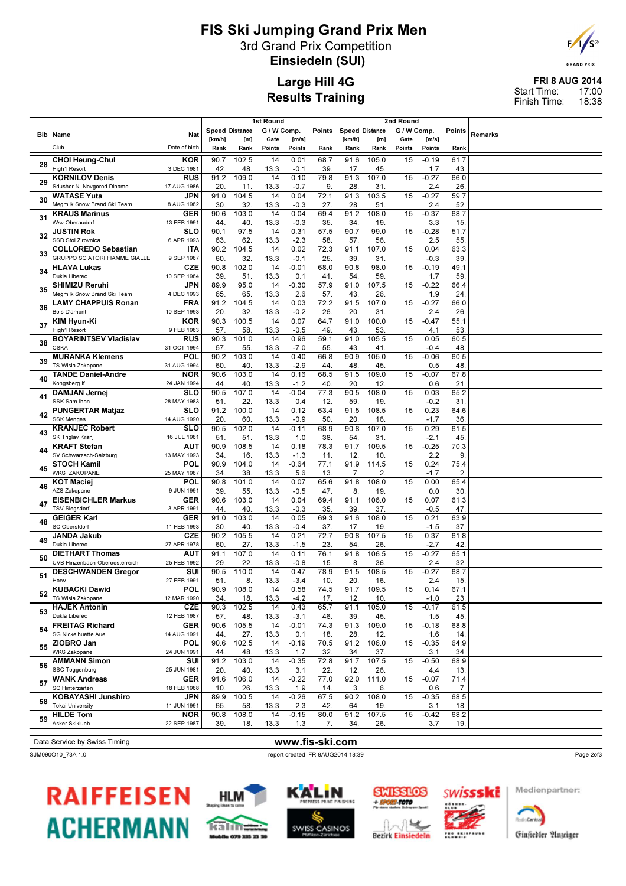## FIS Ski Jumping Grand Prix Men 3rd Grand Prix Competition Einsiedeln (SUI)



**GRAND PRIX** 

#### Large Hill 4G Results Training

#### FRI 8 AUG 2014 17:00 18:38 Start Time: Finish Time:

|    | 1st Round<br>2nd Round                                      |                           |                 |                       |             |                 |             |                       |              |             |                |             |         |
|----|-------------------------------------------------------------|---------------------------|-----------------|-----------------------|-------------|-----------------|-------------|-----------------------|--------------|-------------|----------------|-------------|---------|
|    | <b>Bib Name</b>                                             | Nat                       |                 | <b>Speed Distance</b> | G / W Comp. |                 | Points      | <b>Speed Distance</b> |              | G / W Comp. |                | Points      | Remarks |
|    |                                                             |                           | [km/h]          | [m]                   | Gate        | [m/s]           |             | [km/h]                | [m]          | Gate        | [m/s]          |             |         |
|    | Club                                                        | Date of birth             | Rank            | Rank                  | Points      | Points          | Rank        | Rank                  | Rank         | Points      | Points         | Rank        |         |
|    | <b>CHOI Heung-Chul</b>                                      | <b>KOR</b>                | 90.7            | 102.5                 | 14          | 0.01            | 68.7        | 91.6                  | 105.0        | 15          | $-0.19$        | 61.7        |         |
| 28 | High1 Resort                                                | 3 DEC 1981                | 42.             | 48.                   | 13.3        | $-0.1$          | 39          | 17.                   | 45.          |             | 1.7            | 43.         |         |
| 29 | <b>KORNILOV Denis</b>                                       | <b>RUS</b>                | 91.2            | 109.0                 | 14          | 0.10            | 79.8        | 91.3                  | 107.0        | 15          | $-0.27$        | 66.0        |         |
|    | Sdushor N. Novgorod Dinamo                                  | 17 AUG 1986               | 20.             | 11.                   | 13.3        | $-0.7$          | 9.          | 28                    | 31.          |             | 2.4            | 26.         |         |
| 30 | <b>WATASE Yuta</b>                                          | JPN                       | 91.0            | 104.5                 | 14          | 0.04            | 72.1        | 91.3                  | 103.5        | 15          | $-0.27$        | 59.7        |         |
|    | Megmilk Snow Brand Ski Team                                 | 8 AUG 1982                | 30              | 32.                   | 13.3        | $-0.3$          | 27.         | 28                    | 51.          |             | 2.4            | 52          |         |
| 31 | <b>KRAUS Marinus</b>                                        | <b>GER</b>                | 90.6            | 103.0                 | 14          | 0.04            | 69.4        | 91.2                  | 108.0        | 15          | $-0.37$        | 68.7        |         |
|    | Wsv Oberaudorf<br><b>JUSTIN Rok</b>                         | 13 FEB 1991<br><b>SLO</b> | 44<br>90.1      | 40.<br>97.5           | 13.3<br>14  | $-0.3$<br>0.31  | 35<br>57.5  | 34<br>90.7            | 19<br>99.0   | 15          | 3.3<br>$-0.28$ | 15.<br>51.7 |         |
| 32 | SSD Stol Zirovnica                                          | 6 APR 1993                | 63              | 62.                   | 13.3        | $-2.3$          | 58          | 57                    | 56.          |             | 2.5            | 55          |         |
|    | <b>COLLOREDO Sebastian</b>                                  | <b>ITA</b>                | 90.2            | 104.5                 | 14          | 0.02            | 72.3        | 91.1                  | 107.0        | 15          | 0.04           | 63.3        |         |
| 33 | GRUPPO SCIATORI FIAMME GIALLE                               | 9 SEP 1987                | 60              | 32.                   | 13.3        | $-0.1$          | 25          | 39                    | 31.          |             | -0.3           | 39          |         |
|    | <b>HLAVA Lukas</b>                                          | <b>CZE</b>                | 90.8            | 102.0                 | 14          | $-0.01$         | 68.0        | 90.8                  | 98.0         | 15          | $-0.19$        | 49.1        |         |
| 34 | Dukla Liberec                                               | 10 SEP 1984               | 39.             | 51.                   | 13.3        | 0.1             | 41          | 54.                   | 59.          |             | 1.7            | 59          |         |
| 35 | <b>SHIMIZU Reruhi</b>                                       | JPN                       | 89.9            | 95.0                  | 14          | $-0.30$         | 57.9        | 91.0                  | 107.5        | 15          | $-0.22$        | 66.4        |         |
|    | Megmilk Snow Brand Ski Team                                 | 4 DEC 1993                | 65.             | 65.                   | 13.3        | 2.6             | 57          | 43.                   | 26           |             | 1.9            | 24          |         |
| 36 | <b>LAMY CHAPPUIS Ronan</b>                                  | <b>FRA</b>                | 91.2            | 104.5                 | 14          | 0.03            | 72.2        | 91.5                  | 107.0        | 15          | $-0.27$        | 66.0        |         |
|    | Bois D'amont                                                | 10 SEP 1993               | 20.<br>90.3     | 32.<br>100.5          | 13.3<br>14  | $-0.2$<br>0.07  | 26          | 20<br>91.0            | 31<br>100.0  |             | 2.4<br>$-0.47$ | 26.         |         |
| 37 | KIM Hyun-Ki<br>High1 Resort                                 | <b>KOR</b><br>9 FEB 1983  | 57.             | 58.                   | 13.3        | $-0.5$          | 64.7<br>49  | 43.                   | 53.          | 15          | 4.1            | 55.1<br>53  |         |
|    | <b>BOYARINTSEV Vladislav</b>                                | <b>RUS</b>                | 90.3            | 101.0                 | 14          | 0.96            | 59.1        | 91.0                  | 105.5        | 15          | 0.05           | 60.5        |         |
| 38 | <b>CSKA</b>                                                 | 31 OCT 1994               | 57              | 55.                   | 13.3        | $-7.0$          | 55          | 43                    | 41           |             | $-0.4$         | 48          |         |
|    | <b>MURANKA Klemens</b>                                      | <b>POL</b>                | 90.2            | 103.0                 | 14          | 0.40            | 66.8        | 90.9                  | 105.0        | 15          | $-0.06$        | 60.5        |         |
| 39 | TS Wisla Zakopane                                           | 31 AUG 1994               | 60              | 40.                   | 13.3        | $-2.9$          | 44          | 48                    | 45.          |             | 0.5            | 48          |         |
| 40 | <b>TANDE Daniel-Andre</b>                                   | <b>NOR</b>                | 90.6            | 103.0                 | 14          | 0.16            | 68.5        | 91.5                  | 109.0        | 15          | $-0.07$        | 67.8        |         |
|    | Kongsberg If                                                | 24 JAN 1994               | 44              | 40.                   | 13.3        | $-1.2$          | 40.         | 20                    | 12.          |             | 0.6            | 21          |         |
| 41 | <b>DAMJAN Jernei</b>                                        | <b>SLO</b>                | 90.5            | 107.0                 | 14          | $-0.04$         | 77.3        | 90.5                  | 108.0        | 15          | 0.03           | 65.2        |         |
|    | SSK Sam Ihan<br><b>PUNGERTAR Matjaz</b>                     | 28 MAY 1983<br><b>SLO</b> | 51<br>91.2      | 22<br>100.0           | 13.3<br>14  | 0.4<br>0.12     | 12.         | 59<br>91.5            | 19           | 15          | $-0.2$<br>0.23 | 31          |         |
| 42 | <b>SSK Menges</b>                                           | 14 AUG 1990               | 20.             | 60.                   | 13.3        | $-0.9$          | 63.4<br>50. | 20                    | 108.5<br>16. |             | $-1.7$         | 64.6<br>36. |         |
|    | <b>KRANJEC Robert</b>                                       | <b>SLO</b>                | 90.5            | 102.0                 | 14          | $-0.11$         | 68.9        | 90.8                  | 107.0        | 15          | 0.29           | 61.5        |         |
| 43 | SK Triglav Kranj                                            | 16 JUL 1981               | 51              | 51.                   | 13.3        | 1.0             | 38          | 54                    | 31           |             | $-2.1$         | 45.         |         |
| 44 | <b>KRAFT Stefan</b>                                         | <b>AUT</b>                | 90.9            | 108.5                 | 14          | 0.18            | 78.3        | 91.7                  | 109.5        | 15          | $-0.25$        | 70.3        |         |
|    | SV Schwarzach-Salzburg                                      | 13 MAY 1993               | 34              | 16.                   | 13.3        | $-1.3$          | 11          | 12                    | 10           |             | 2.2            | 9           |         |
| 45 | <b>STOCH Kamil</b>                                          | POL                       | 90.9            | 104.0                 | 14          | $-0.64$         | 77.1        | 91.9                  | 114.5        | 15          | 0.24           | 75.4        |         |
|    | <b>WKS ZAKOPANE</b>                                         | 25 MAY 1987               | 34.             | 38.                   | 13.3        | 5.6             | 13          | 7.                    | 2.           |             | $-1.7$         | 2.          |         |
| 46 | <b>KOT Maciej</b><br>AZS Zakopane                           | POL<br>9 JUN 1991         | 90.8<br>39.     | 101.0<br>55.          | 14<br>13.3  | 0.07<br>$-0.5$  | 65.6<br>47. | 91.8<br>8.            | 108.0<br>19. | 15          | 0.00<br>0.0    | 65.4<br>30  |         |
|    | <b>EISENBICHLER Markus</b>                                  | <b>GER</b>                | 90.6            | 103.0                 | 14          | 0.04            | 69.4        | 91.1                  | 106.0        | 15          | 0.07           | 61.3        |         |
| 47 | <b>TSV Siegsdorf</b>                                        | 3 APR 1991                | 44              | 40.                   | 13.3        | $-0.3$          | 35          | 39                    | 37.          |             | $-0.5$         | 47.         |         |
|    | <b>GEIGER Karl</b>                                          | <b>GER</b>                | 91.0            | 103.0                 | 14          | 0.05            | 69.3        | 91.6                  | 108.0        | 15          | 0.21           | 63.9        |         |
| 48 | SC Oberstdorf                                               | 11 FEB 1993               | 30              | 40.                   | 13.3        | $-0.4$          | 37.         | 17.                   | 19           |             | $-1.5$         | 37.         |         |
| 49 | <b>JANDA Jakub</b>                                          | <b>CZE</b>                | 90.2            | 105.5                 | 14          | 0.21            | 72.7        | 90.8                  | 107.5        | 15          | 0.37           | 61.8        |         |
|    | Dukla Liberec                                               | 27 APR 1978               | 60              | 27.                   | 13.3        | $-1.5$          | 23          | 54                    | 26.          |             | $-2.7$         | 42          |         |
| 50 | <b>DIETHART Thomas</b>                                      | <b>AUT</b>                | 91.1            | 107.0                 | 14          | 0.11            | 76.1        | 91.8                  | 106.5        | 15          | $-0.27$        | 65.1        |         |
|    | UVB Hinzenbach-Oberoesterreich<br><b>DESCHWANDEN Gregor</b> | 25 FEB 1992<br>SUI        | 29.<br>90.5     | 22.<br>110.0          | 13.3<br>14  | $-0.8$<br>0.47  | 15<br>78.9  | 8<br>91.5             | 36<br>108.5  | 15          | 2.4<br>$-0.27$ | 32.<br>68.7 |         |
| 51 | Horw                                                        | 27 FEB 1991               | 51.             | 8.                    | 13.3        | $-3.4$          | 10.         | 20                    | 16.          |             | 2.4            | 15.         |         |
|    | KUBACKI Dawid                                               | <b>POL</b>                | 90.9            | 108.0                 | 14          | 0.58            | 74.5        | 91.7                  | 109.5        | 15          | 0.14           | 67.1        |         |
| 52 | TS Wisla Zakopane                                           | 12 MAR 1990               | 34.             | 18.                   | 13.3        | $-4.2$          | 17.         | 12.                   | 10.          |             | $-1.0$         | 23.         |         |
| 53 | <b>HAJEK Antonin</b>                                        | <b>CZE</b>                | 90.3            | 102.5                 | 14          | 0.43            | 65.7        | 91.1                  | 105.0        | 15          | $-0.17$        | 61.5        |         |
|    | Dukla Liberec                                               | 12 FEB 1987               | 57.             | 48.                   | 13.3        | -3.1            | 46.         | 39                    | 45.          |             | 1.5            | 45.         |         |
| 54 | <b>FREITAG Richard</b>                                      | GER                       | 90.6            | 105.5                 | 14          | $-0.01$         | 74.3        | 91.3                  | 109.0        | 15          | $-0.18$        | 68.8        |         |
|    | SG Nickelhuette Aue<br>ZIOBRO Jan                           | 14 AUG 1991<br>POL        | 44<br>90.6      | 27.<br>102.5          | 13.3<br>14  | 0.1<br>$-0.19$  | 18.<br>70.5 | 28<br>91.2            | 12.<br>106.0 | 15          | 1.6<br>$-0.35$ | 14.<br>64.9 |         |
| 55 | <b>WKS Zakopane</b>                                         | 24 JUN 1991               | 44.             | 48.                   | 13.3        | 1.7             | 32.         | 34.                   | 37.          |             | 3.1            | 34.         |         |
|    | <b>AMMANN Simon</b>                                         | SUI                       | 91.2            | 103.0                 | 14          | $-0.35$         | 72.8        | 91.7                  | 107.5        | 15          | $-0.50$        | 68.9        |         |
| 56 | SSC Toggenburg                                              | 25 JUN 1981               | 20.             | 40.                   | 13.3        | 3.1             | 22.         | 12.                   | 26.          |             | 4.4            | 13.         |         |
| 57 | <b>WANK Andreas</b>                                         | GER                       | 91.6            | 106.0                 | 14          | $-0.22$         | 77.0        | 92.0                  | 111.0        | 15          | $-0.07$        | 71.4        |         |
|    | SC Hinterzarten                                             | 18 FEB 1988               | 10 <sub>1</sub> | 26.                   | 13.3        | 1.9             | 14.         | 3.                    | 6.           |             | 0.6            | 7.          |         |
| 58 | <b>KOBAYASHI Junshiro</b>                                   | JPN                       | 89.9            | 100.5                 | 14          | $-0.26$         | 67.5        | 90.2                  | 108.0        | 15          | $-0.35$        | 68.5        |         |
|    | <b>Tokai University</b>                                     | 11 JUN 1991               | 65.             | 58.                   | 13.3        | 2.3             | 42.         | 64.                   | 19.          |             | 3.1            | 18.         |         |
| 59 | <b>HILDE Tom</b><br>Asker Skiklubb                          | <b>NOR</b>                | 90.8            | 108.0                 | 14          | $-0.15$         | 80.0        | 91.2                  | 107.5        | 15          | $-0.42$        | 68.2        |         |
|    |                                                             | 22 SEP 1987               | 39.             | 18.                   | 13.3        | 1.3             | 7.          | 34.                   | 26.          |             | 3.7            | 19.         |         |
|    | Data Service by Swiss Timing                                |                           |                 |                       |             | www.fis-ski.com |             |                       |              |             |                |             |         |

#### SJM090O10\_73A 1.0 report created FR 8AUG2014 18:39



# **RAIFFEISEN ACHERMANN**











Ginfiedler Anzeiger